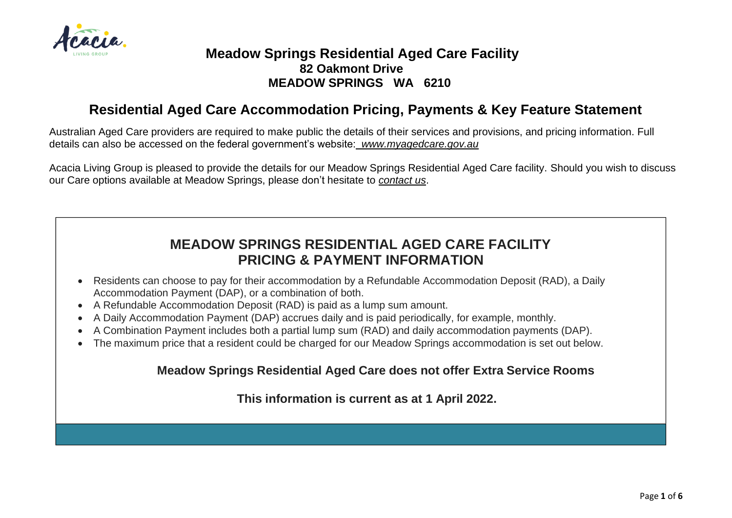

## **Meadow Springs Residential Aged Care Facility 82 Oakmont Drive MEADOW SPRINGS WA 6210**

## **Residential Aged Care Accommodation Pricing, Payments & Key Feature Statement**

Australian Aged Care providers are required to make public the details of their services and provisions, and pricing information. Full details can also be accessed on the federal government's website: *[www.myagedcare.gov.au](http://www.myagedcare.gov.au/)*

Acacia Living Group is pleased to provide the details for our Meadow Springs Residential Aged Care facility. Should you wish to discuss our Care options available at Meadow Springs, please don't hesitate to *contact us*.

## **MEADOW SPRINGS RESIDENTIAL AGED CARE FACILITY PRICING & PAYMENT INFORMATION**

- Residents can choose to pay for their accommodation by a Refundable Accommodation Deposit (RAD), a Daily Accommodation Payment (DAP), or a combination of both.
- A Refundable Accommodation Deposit (RAD) is paid as a lump sum amount.
- A Daily Accommodation Payment (DAP) accrues daily and is paid periodically, for example, monthly.
- A Combination Payment includes both a partial lump sum (RAD) and daily accommodation payments (DAP).
- The maximum price that a resident could be charged for our Meadow Springs accommodation is set out below.

## **Meadow Springs Residential Aged Care does not offer Extra Service Rooms**

**This information is current as at 1 April 2022.**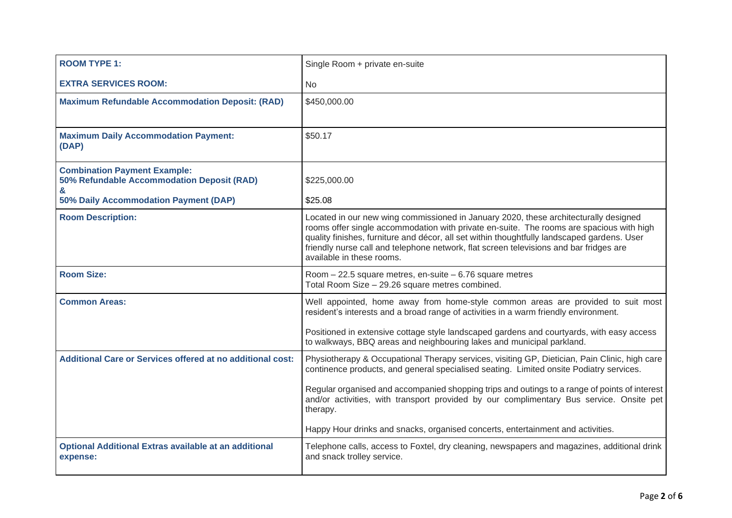| <b>ROOM TYPE 1:</b>                                                                    | Single Room + private en-suite                                                                                                                                                                                                                                                                                                                                                                         |
|----------------------------------------------------------------------------------------|--------------------------------------------------------------------------------------------------------------------------------------------------------------------------------------------------------------------------------------------------------------------------------------------------------------------------------------------------------------------------------------------------------|
| <b>EXTRA SERVICES ROOM:</b>                                                            | <b>No</b>                                                                                                                                                                                                                                                                                                                                                                                              |
| <b>Maximum Refundable Accommodation Deposit: (RAD)</b>                                 | \$450,000.00                                                                                                                                                                                                                                                                                                                                                                                           |
| <b>Maximum Daily Accommodation Payment:</b><br>(DAP)                                   | \$50.17                                                                                                                                                                                                                                                                                                                                                                                                |
| <b>Combination Payment Example:</b><br>50% Refundable Accommodation Deposit (RAD)<br>& | \$225,000.00                                                                                                                                                                                                                                                                                                                                                                                           |
| 50% Daily Accommodation Payment (DAP)                                                  | \$25.08                                                                                                                                                                                                                                                                                                                                                                                                |
| <b>Room Description:</b>                                                               | Located in our new wing commissioned in January 2020, these architecturally designed<br>rooms offer single accommodation with private en-suite. The rooms are spacious with high<br>quality finishes, furniture and décor, all set within thoughtfully landscaped gardens. User<br>friendly nurse call and telephone network, flat screen televisions and bar fridges are<br>available in these rooms. |
| <b>Room Size:</b>                                                                      | Room $-22.5$ square metres, en-suite $-6.76$ square metres<br>Total Room Size - 29.26 square metres combined.                                                                                                                                                                                                                                                                                          |
| <b>Common Areas:</b>                                                                   | Well appointed, home away from home-style common areas are provided to suit most<br>resident's interests and a broad range of activities in a warm friendly environment.                                                                                                                                                                                                                               |
|                                                                                        | Positioned in extensive cottage style landscaped gardens and courtyards, with easy access<br>to walkways, BBQ areas and neighbouring lakes and municipal parkland.                                                                                                                                                                                                                                     |
| <b>Additional Care or Services offered at no additional cost:</b>                      | Physiotherapy & Occupational Therapy services, visiting GP, Dietician, Pain Clinic, high care<br>continence products, and general specialised seating. Limited onsite Podiatry services.                                                                                                                                                                                                               |
|                                                                                        | Regular organised and accompanied shopping trips and outings to a range of points of interest<br>and/or activities, with transport provided by our complimentary Bus service. Onsite pet<br>therapy.                                                                                                                                                                                                   |
|                                                                                        | Happy Hour drinks and snacks, organised concerts, entertainment and activities.                                                                                                                                                                                                                                                                                                                        |
| <b>Optional Additional Extras available at an additional</b><br>expense:               | Telephone calls, access to Foxtel, dry cleaning, newspapers and magazines, additional drink<br>and snack trolley service.                                                                                                                                                                                                                                                                              |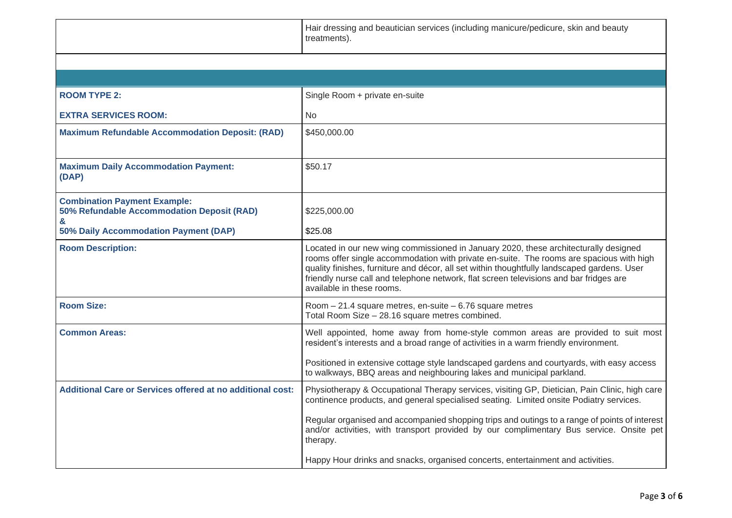|                                                                                        | Hair dressing and beautician services (including manicure/pedicure, skin and beauty<br>treatments).                                                                                                                                                                                                                                                                                                    |
|----------------------------------------------------------------------------------------|--------------------------------------------------------------------------------------------------------------------------------------------------------------------------------------------------------------------------------------------------------------------------------------------------------------------------------------------------------------------------------------------------------|
|                                                                                        |                                                                                                                                                                                                                                                                                                                                                                                                        |
|                                                                                        |                                                                                                                                                                                                                                                                                                                                                                                                        |
| <b>ROOM TYPE 2:</b>                                                                    | Single Room + private en-suite                                                                                                                                                                                                                                                                                                                                                                         |
| <b>EXTRA SERVICES ROOM:</b>                                                            | No.                                                                                                                                                                                                                                                                                                                                                                                                    |
| <b>Maximum Refundable Accommodation Deposit: (RAD)</b>                                 | \$450,000.00                                                                                                                                                                                                                                                                                                                                                                                           |
| <b>Maximum Daily Accommodation Payment:</b><br>(DAP)                                   | \$50.17                                                                                                                                                                                                                                                                                                                                                                                                |
| <b>Combination Payment Example:</b><br>50% Refundable Accommodation Deposit (RAD)<br>& | \$225,000.00                                                                                                                                                                                                                                                                                                                                                                                           |
| 50% Daily Accommodation Payment (DAP)                                                  | \$25.08                                                                                                                                                                                                                                                                                                                                                                                                |
| <b>Room Description:</b>                                                               | Located in our new wing commissioned in January 2020, these architecturally designed<br>rooms offer single accommodation with private en-suite. The rooms are spacious with high<br>quality finishes, furniture and décor, all set within thoughtfully landscaped gardens. User<br>friendly nurse call and telephone network, flat screen televisions and bar fridges are<br>available in these rooms. |
| <b>Room Size:</b>                                                                      | Room - 21.4 square metres, en-suite - 6.76 square metres<br>Total Room Size - 28.16 square metres combined.                                                                                                                                                                                                                                                                                            |
| <b>Common Areas:</b>                                                                   | Well appointed, home away from home-style common areas are provided to suit most<br>resident's interests and a broad range of activities in a warm friendly environment.<br>Positioned in extensive cottage style landscaped gardens and courtyards, with easy access<br>to walkways, BBQ areas and neighbouring lakes and municipal parkland.                                                         |
| <b>Additional Care or Services offered at no additional cost:</b>                      | Physiotherapy & Occupational Therapy services, visiting GP, Dietician, Pain Clinic, high care<br>continence products, and general specialised seating. Limited onsite Podiatry services.                                                                                                                                                                                                               |
|                                                                                        | Regular organised and accompanied shopping trips and outings to a range of points of interest<br>and/or activities, with transport provided by our complimentary Bus service. Onsite pet<br>therapy.                                                                                                                                                                                                   |
|                                                                                        | Happy Hour drinks and snacks, organised concerts, entertainment and activities.                                                                                                                                                                                                                                                                                                                        |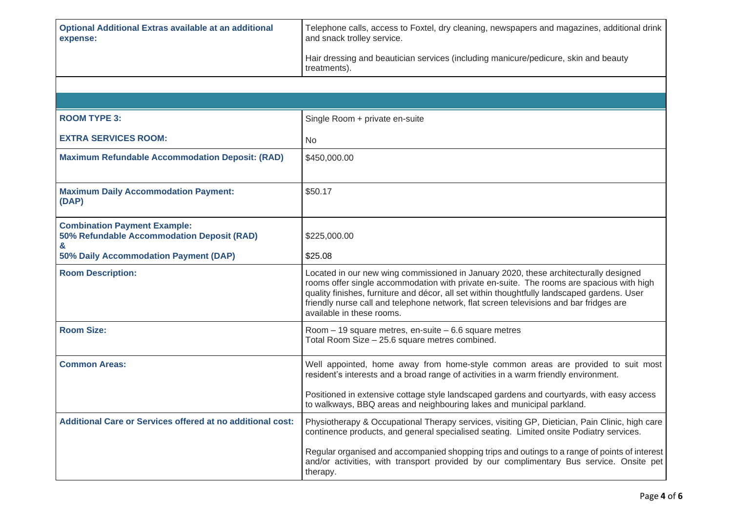| <b>Optional Additional Extras available at an additional</b><br>expense:               | Telephone calls, access to Foxtel, dry cleaning, newspapers and magazines, additional drink<br>and snack trolley service.                                                                                                                                                                                                                                                                              |
|----------------------------------------------------------------------------------------|--------------------------------------------------------------------------------------------------------------------------------------------------------------------------------------------------------------------------------------------------------------------------------------------------------------------------------------------------------------------------------------------------------|
|                                                                                        | Hair dressing and beautician services (including manicure/pedicure, skin and beauty<br>treatments).                                                                                                                                                                                                                                                                                                    |
|                                                                                        |                                                                                                                                                                                                                                                                                                                                                                                                        |
|                                                                                        |                                                                                                                                                                                                                                                                                                                                                                                                        |
| <b>ROOM TYPE 3:</b>                                                                    | Single Room + private en-suite                                                                                                                                                                                                                                                                                                                                                                         |
| <b>EXTRA SERVICES ROOM:</b>                                                            | No                                                                                                                                                                                                                                                                                                                                                                                                     |
| <b>Maximum Refundable Accommodation Deposit: (RAD)</b>                                 | \$450,000.00                                                                                                                                                                                                                                                                                                                                                                                           |
| <b>Maximum Daily Accommodation Payment:</b><br>(DAP)                                   | \$50.17                                                                                                                                                                                                                                                                                                                                                                                                |
| <b>Combination Payment Example:</b><br>50% Refundable Accommodation Deposit (RAD)<br>& | \$225,000.00                                                                                                                                                                                                                                                                                                                                                                                           |
| 50% Daily Accommodation Payment (DAP)                                                  | \$25.08                                                                                                                                                                                                                                                                                                                                                                                                |
| <b>Room Description:</b>                                                               | Located in our new wing commissioned in January 2020, these architecturally designed<br>rooms offer single accommodation with private en-suite. The rooms are spacious with high<br>quality finishes, furniture and décor, all set within thoughtfully landscaped gardens. User<br>friendly nurse call and telephone network, flat screen televisions and bar fridges are<br>available in these rooms. |
| <b>Room Size:</b>                                                                      | Room $-19$ square metres, en-suite $-6.6$ square metres<br>Total Room Size - 25.6 square metres combined.                                                                                                                                                                                                                                                                                              |
| <b>Common Areas:</b>                                                                   | Well appointed, home away from home-style common areas are provided to suit most<br>resident's interests and a broad range of activities in a warm friendly environment.                                                                                                                                                                                                                               |
|                                                                                        | Positioned in extensive cottage style landscaped gardens and courtyards, with easy access<br>to walkways, BBQ areas and neighbouring lakes and municipal parkland.                                                                                                                                                                                                                                     |
| <b>Additional Care or Services offered at no additional cost:</b>                      | Physiotherapy & Occupational Therapy services, visiting GP, Dietician, Pain Clinic, high care<br>continence products, and general specialised seating. Limited onsite Podiatry services.                                                                                                                                                                                                               |
|                                                                                        | Regular organised and accompanied shopping trips and outings to a range of points of interest<br>and/or activities, with transport provided by our complimentary Bus service. Onsite pet<br>therapy.                                                                                                                                                                                                   |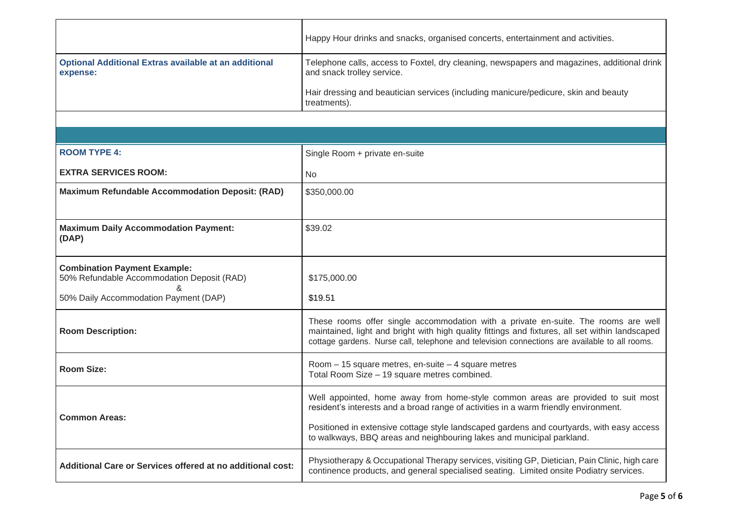|                                                                                   | Happy Hour drinks and snacks, organised concerts, entertainment and activities.                                                                                                                                                                                                        |
|-----------------------------------------------------------------------------------|----------------------------------------------------------------------------------------------------------------------------------------------------------------------------------------------------------------------------------------------------------------------------------------|
| <b>Optional Additional Extras available at an additional</b><br>expense:          | Telephone calls, access to Foxtel, dry cleaning, newspapers and magazines, additional drink<br>and snack trolley service.                                                                                                                                                              |
|                                                                                   | Hair dressing and beautician services (including manicure/pedicure, skin and beauty<br>treatments).                                                                                                                                                                                    |
|                                                                                   |                                                                                                                                                                                                                                                                                        |
|                                                                                   |                                                                                                                                                                                                                                                                                        |
| <b>ROOM TYPE 4:</b>                                                               | Single Room + private en-suite                                                                                                                                                                                                                                                         |
| <b>EXTRA SERVICES ROOM:</b>                                                       | No.                                                                                                                                                                                                                                                                                    |
| <b>Maximum Refundable Accommodation Deposit: (RAD)</b>                            | \$350,000.00                                                                                                                                                                                                                                                                           |
|                                                                                   |                                                                                                                                                                                                                                                                                        |
| <b>Maximum Daily Accommodation Payment:</b><br>(DAP)                              | \$39.02                                                                                                                                                                                                                                                                                |
| <b>Combination Payment Example:</b><br>50% Refundable Accommodation Deposit (RAD) | \$175,000.00                                                                                                                                                                                                                                                                           |
| 50% Daily Accommodation Payment (DAP)                                             | \$19.51                                                                                                                                                                                                                                                                                |
| <b>Room Description:</b>                                                          | These rooms offer single accommodation with a private en-suite. The rooms are well<br>maintained, light and bright with high quality fittings and fixtures, all set within landscaped<br>cottage gardens. Nurse call, telephone and television connections are available to all rooms. |
| <b>Room Size:</b>                                                                 | Room - 15 square metres, en-suite - 4 square metres<br>Total Room Size - 19 square metres combined.                                                                                                                                                                                    |
| <b>Common Areas:</b>                                                              | Well appointed, home away from home-style common areas are provided to suit most<br>resident's interests and a broad range of activities in a warm friendly environment.                                                                                                               |
|                                                                                   | Positioned in extensive cottage style landscaped gardens and courtyards, with easy access<br>to walkways, BBQ areas and neighbouring lakes and municipal parkland.                                                                                                                     |
| <b>Additional Care or Services offered at no additional cost:</b>                 | Physiotherapy & Occupational Therapy services, visiting GP, Dietician, Pain Clinic, high care<br>continence products, and general specialised seating. Limited onsite Podiatry services.                                                                                               |